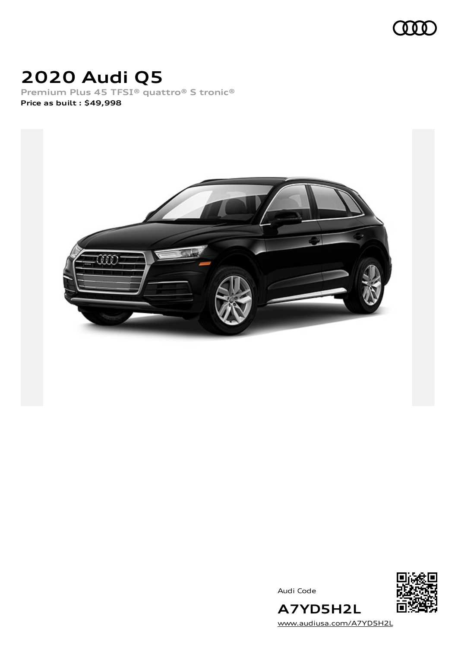

# **2020 Audi Q5**

**Premium Plus 45 TFSI® quattro® S tronic® Price as built [:](#page-8-0) \$49,998**



Audi Code



[www.audiusa.com/A7YD5H2L](https://www.audiusa.com/A7YD5H2L)

**A7YD5H2L**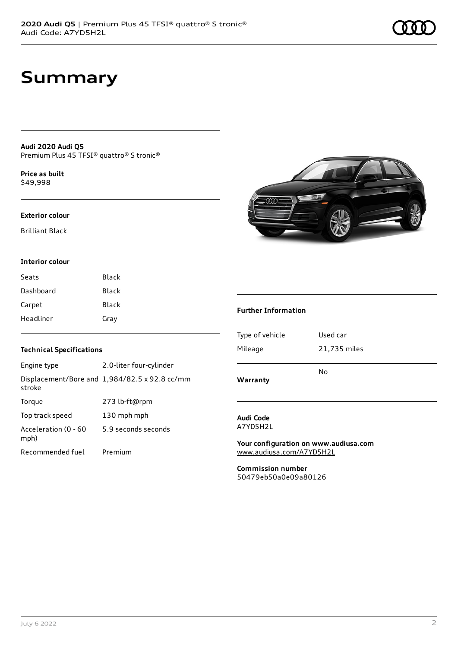## **Summary**

**Audi 2020 Audi Q5** Premium Plus 45 TFSI® quattro® S tronic®

**Price as buil[t](#page-8-0)** \$49,998

#### **Exterior colour**

Brilliant Black

### **Interior colour**

| Seats     | Black |
|-----------|-------|
| Dashboard | Black |
| Carpet    | Black |
| Headliner | Gray  |

### **Technical Specifications**

| Engine type                  | 2.0-liter four-cylinder                              |
|------------------------------|------------------------------------------------------|
| stroke                       | Displacement/Bore and $1,984/82.5 \times 92.8$ cc/mm |
| Torque                       | 273 lb-ft@rpm                                        |
| Top track speed              | 130 mph mph                                          |
| Acceleration (0 - 60<br>mph) | 5.9 seconds seconds                                  |
| Recommended fuel             | Premium                                              |



#### **Further Information**

| Warranty        |              |  |
|-----------------|--------------|--|
|                 | N٥           |  |
| Mileage         | 21,735 miles |  |
| Type of vehicle | Used car     |  |
|                 |              |  |

#### **Audi Code** A7YD5H2L

**Your configuration on www.audiusa.com** [www.audiusa.com/A7YD5H2L](https://www.audiusa.com/A7YD5H2L)

**Commission number** 50479eb50a0e09a80126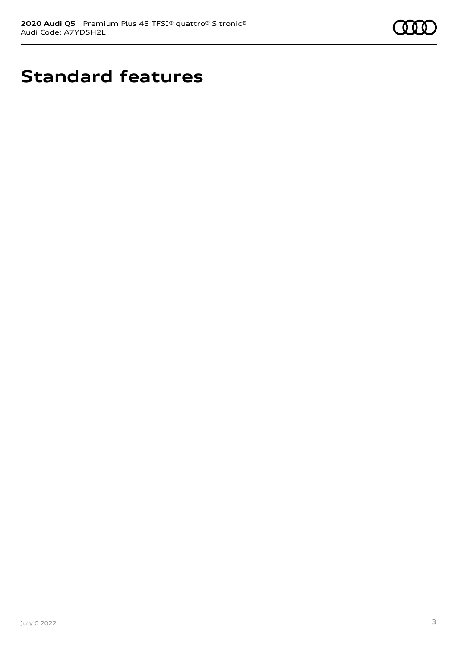

# **Standard features**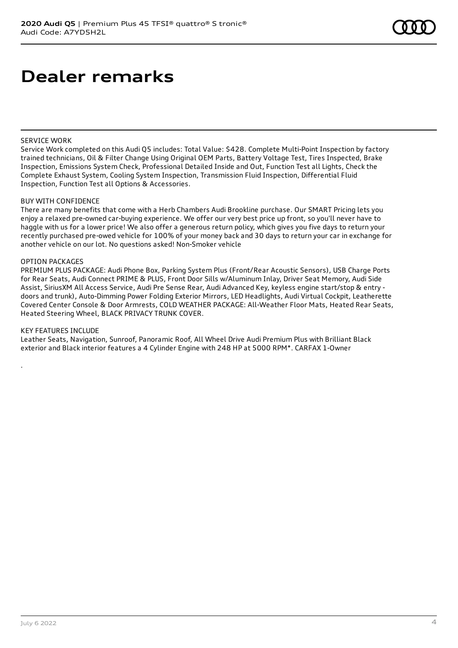## **Dealer remarks**

#### SERVICE WORK

Service Work completed on this Audi Q5 includes: Total Value: \$428. Complete Multi-Point Inspection by factory trained technicians, Oil & Filter Change Using Original OEM Parts, Battery Voltage Test, Tires Inspected, Brake Inspection, Emissions System Check, Professional Detailed Inside and Out, Function Test all Lights, Check the Complete Exhaust System, Cooling System Inspection, Transmission Fluid Inspection, Differential Fluid Inspection, Function Test all Options & Accessories.

#### BUY WITH CONFIDENCE

There are many benefits that come with a Herb Chambers Audi Brookline purchase. Our SMART Pricing lets you enjoy a relaxed pre-owned car-buying experience. We offer our very best price up front, so you'll never have to haggle with us for a lower price! We also offer a generous return policy, which gives you five days to return your recently purchased pre-owed vehicle for 100% of your money back and 30 days to return your car in exchange for another vehicle on our lot. No questions asked! Non-Smoker vehicle

#### OPTION PACKAGES

PREMIUM PLUS PACKAGE: Audi Phone Box, Parking System Plus (Front/Rear Acoustic Sensors), USB Charge Ports for Rear Seats, Audi Connect PRIME & PLUS, Front Door Sills w/Aluminum Inlay, Driver Seat Memory, Audi Side Assist, SiriusXM All Access Service, Audi Pre Sense Rear, Audi Advanced Key, keyless engine start/stop & entry doors and trunk), Auto-Dimming Power Folding Exterior Mirrors, LED Headlights, Audi Virtual Cockpit, Leatherette Covered Center Console & Door Armrests, COLD WEATHER PACKAGE: All-Weather Floor Mats, Heated Rear Seats, Heated Steering Wheel, BLACK PRIVACY TRUNK COVER.

#### KEY FEATURES INCLUDE

.

Leather Seats, Navigation, Sunroof, Panoramic Roof, All Wheel Drive Audi Premium Plus with Brilliant Black exterior and Black interior features a 4 Cylinder Engine with 248 HP at 5000 RPM\*. CARFAX 1-Owner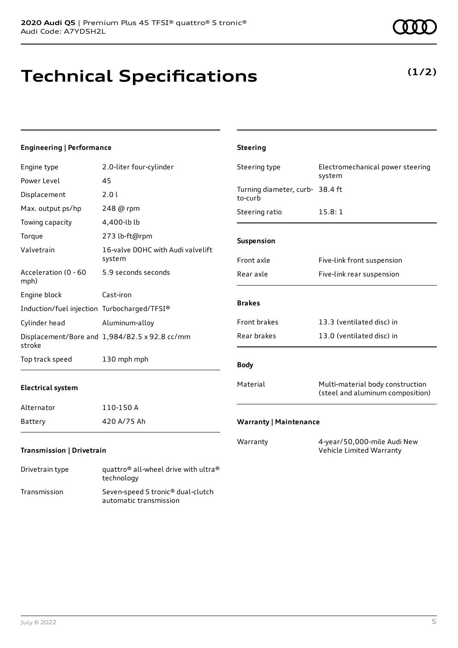# **Technical Specifications**

technology Transmission Seven-speed S tronic® dual-clutch

automatic transmission

## **Engineering | Performance**

| Engine type                                 | 2.0-liter four-cylinder                                      | Steering type                              | Electromechanical power steering                                     |
|---------------------------------------------|--------------------------------------------------------------|--------------------------------------------|----------------------------------------------------------------------|
| Power Level                                 | 45                                                           |                                            | system                                                               |
| Displacement                                | 2.0 l                                                        | Turning diameter, curb- 38.4 ft<br>to-curb |                                                                      |
| Max. output ps/hp                           | 248 @ rpm                                                    | Steering ratio                             | 15.8:1                                                               |
| Towing capacity                             | 4,400-lb lb                                                  |                                            |                                                                      |
| Torque                                      | 273 lb-ft@rpm                                                | Suspension                                 |                                                                      |
| Valvetrain                                  | 16-valve DOHC with Audi valvelift<br>system                  | Front axle                                 | Five-link front suspension                                           |
| Acceleration (0 - 60<br>mph)                | 5.9 seconds seconds                                          | Rear axle                                  | Five-link rear suspension                                            |
| Engine block                                | Cast-iron                                                    |                                            |                                                                      |
| Induction/fuel injection Turbocharged/TFSI® |                                                              | <b>Brakes</b>                              |                                                                      |
| Cylinder head                               | Aluminum-alloy                                               | Front brakes                               | 13.3 (ventilated disc) in                                            |
| stroke                                      | Displacement/Bore and 1,984/82.5 x 92.8 cc/mm                | Rear brakes                                | 13.0 (ventilated disc) in                                            |
| Top track speed                             | 130 mph mph                                                  | <b>Body</b>                                |                                                                      |
| <b>Electrical system</b>                    |                                                              | Material                                   | Multi-material body construction<br>(steel and aluminum composition) |
| Alternator                                  | 110-150 A                                                    |                                            |                                                                      |
| <b>Battery</b>                              | 420 A/75 Ah                                                  | <b>Warranty   Maintenance</b>              |                                                                      |
| <b>Transmission   Drivetrain</b>            |                                                              | Warranty                                   | 4-year/50,000-mile Audi New<br>Vehicle Limited Warranty              |
| Drivetrain type                             | quattro <sup>®</sup> all-wheel drive with ultra <sup>®</sup> |                                            |                                                                      |

**Steering**

**(1/2)**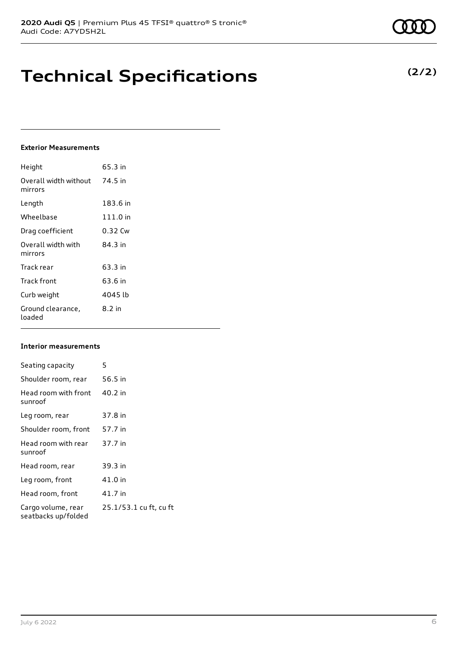# **Technical Specifications**

## **Exterior Measurements**

| Height                           | 65.3 in  |
|----------------------------------|----------|
| Overall width without<br>mirrors | 74.5 in  |
| Length                           | 183.6 in |
| Wheelbase                        | 111.0 in |
| Drag coefficient                 | 0.32 Cw  |
| Overall width with<br>mirrors    | 84.3 in  |
| Track rear                       | 63.3 in  |
| Track front                      | 63.6 in  |
| Curb weight                      | 4045 lb  |
| Ground clearance,<br>loaded      | $8.2$ in |

## **Interior measurements**

| Seating capacity                          | 5                      |
|-------------------------------------------|------------------------|
| Shoulder room, rear                       | 56.5 in                |
| Head room with front<br>sunroof           | 40.2 in                |
| Leg room, rear                            | 37.8 in                |
| Shoulder room, front                      | 57.7 in                |
| Head room with rear<br>sunroof            | 37.7 in                |
| Head room, rear                           | 39.3 in                |
| Leg room, front                           | 41.0 in                |
| Head room, front                          | 41.7 in                |
| Cargo volume, rear<br>seatbacks up/folded | 25.1/53.1 cu ft, cu ft |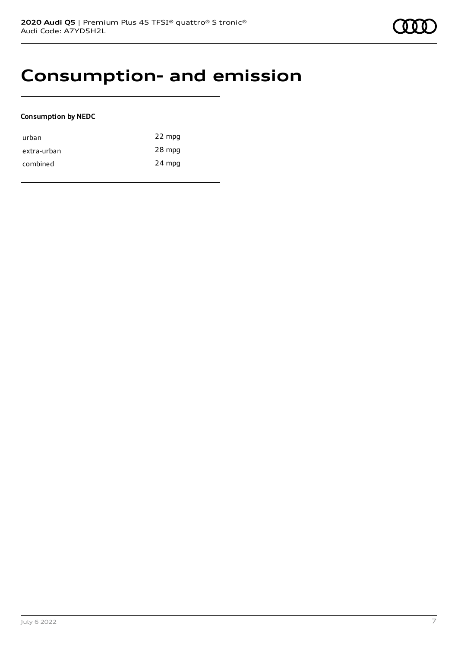## **Consumption- and emission**

## **Consumption by NEDC**

| urban       | 22 mpg |
|-------------|--------|
| extra-urban | 28 mpg |
| combined    | 24 mpg |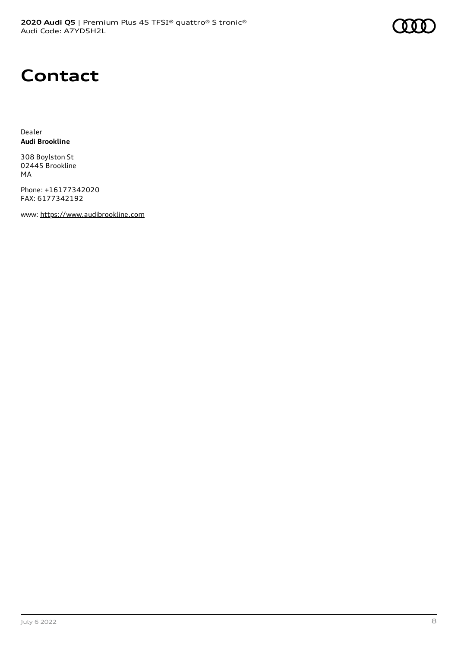## **Contact**

Dealer **Audi Brookline**

308 Boylston St 02445 Brookline MA

Phone: +16177342020 FAX: 6177342192

www: [https://www.audibrookline.com](https://www.audibrookline.com/)